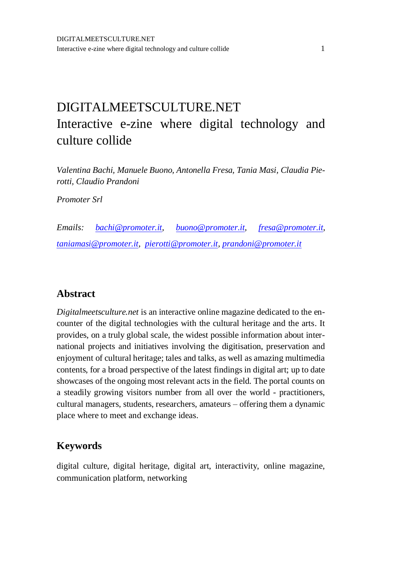# DIGITALMEETSCULTURE.NET Interactive e-zine where digital technology and culture collide

*Valentina Bachi, Manuele Buono, Antonella Fresa, Tania Masi, Claudia Pierotti, Claudio Prandoni*

*Promoter Srl*

*Emails: [bachi@promoter.it,](mailto:bachi@promoter.it) [buono@promoter.it,](mailto:buono@promoter.it) [fresa@promoter.it,](mailto:fresa@promoter.it) [taniamasi@promoter.it,](mailto:taniamasi@promoter.it) [pierotti@promoter.it,](mailto:pierotti@promoter.it) [prandoni@promoter.it](mailto:prandoni@promoter.it)*

#### **Abstract**

*Digitalmeetsculture.net* is an interactive online magazine dedicated to the encounter of the digital technologies with the cultural heritage and the arts. It provides, on a truly global scale, the widest possible information about international projects and initiatives involving the digitisation, preservation and enjoyment of cultural heritage; tales and talks, as well as amazing multimedia contents, for a broad perspective of the latest findings in digital art; up to date showcases of the ongoing most relevant acts in the field. The portal counts on a steadily growing visitors number from all over the world - practitioners, cultural managers, students, researchers, amateurs – offering them a dynamic place where to meet and exchange ideas.

### **Keywords**

digital culture, digital heritage, digital art, interactivity, online magazine, communication platform, networking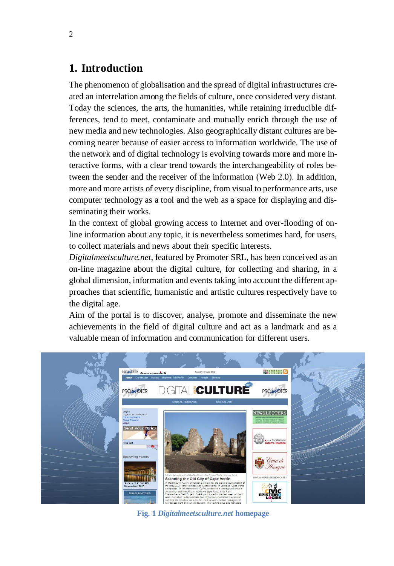### **1. Introduction**

The phenomenon of globalisation and the spread of digital infrastructures created an interrelation among the fields of culture, once considered very distant. Today the sciences, the arts, the humanities, while retaining irreducible differences, tend to meet, contaminate and mutually enrich through the use of new media and new technologies. Also geographically distant cultures are becoming nearer because of easier access to information worldwide. The use of the network and of digital technology is evolving towards more and more interactive forms, with a clear trend towards the interchangeability of roles between the sender and the receiver of the information (Web 2.0). In addition, more and more artists of every discipline, from visual to performance arts, use computer technology as a tool and the web as a space for displaying and disseminating their works.

In the context of global growing access to Internet and over-flooding of online information about any topic, it is nevertheless sometimes hard, for users, to collect materials and news about their specific interests.

*Digitalmeetsculture.net*, featured by Promoter SRL, has been conceived as an on-line magazine about the digital culture, for collecting and sharing, in a global dimension, information and events taking into account the different approaches that scientific, humanistic and artistic cultures respectively have to the digital age.

Aim of the portal is to discover, analyse, promote and disseminate the new achievements in the field of digital culture and act as a landmark and as a valuable mean of information and communication for different users.



**Fig. 1** *Digitalmeetsculture.net* **homepage**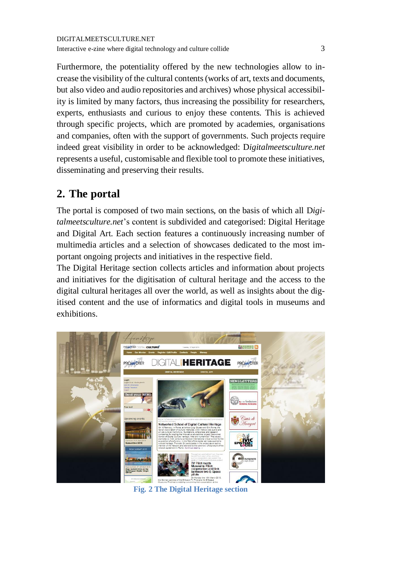Furthermore, the potentiality offered by the new technologies allow to increase the visibility of the cultural contents(works of art, texts and documents, but also video and audio repositories and archives) whose physical accessibility is limited by many factors, thus increasing the possibility for researchers, experts, enthusiasts and curious to enjoy these contents. This is achieved through specific projects, which are promoted by academies, organisations and companies, often with the support of governments. Such projects require indeed great visibility in order to be acknowledged: D*igitalmeetsculture.net* represents a useful, customisable and flexible tool to promote these initiatives, disseminating and preserving their results.

# **2. The portal**

The portal is composed of two main sections, on the basis of which all D*igitalmeetsculture.net*'s content is subdivided and categorised: Digital Heritage and Digital Art. Each section features a continuously increasing number of multimedia articles and a selection of showcases dedicated to the most important ongoing projects and initiatives in the respective field.

The Digital Heritage section collects articles and information about projects and initiatives for the digitisation of cultural heritage and the access to the digital cultural heritages all over the world, as well as insights about the digitised content and the use of informatics and digital tools in museums and exhibitions.



**Fig. 2 The Digital Heritage section**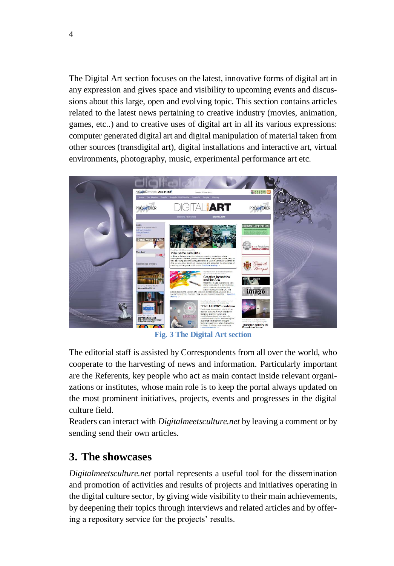The Digital Art section focuses on the latest, innovative forms of digital art in any expression and gives space and visibility to upcoming events and discussions about this large, open and evolving topic. This section contains articles related to the latest news pertaining to creative industry (movies, animation, games, etc..) and to creative uses of digital art in all its various expressions: computer generated digital art and digital manipulation of material taken from other sources (transdigital art), digital installations and interactive art, virtual environments, photography, music, experimental performance art etc.



**Fig. 3 The Digital Art section**

The editorial staff is assisted by Correspondents from all over the world, who cooperate to the harvesting of news and information. Particularly important are the Referents, key people who act as main contact inside relevant organizations or institutes, whose main role is to keep the portal always updated on the most prominent initiatives, projects, events and progresses in the digital culture field.

Readers can interact with *Digitalmeetsculture.net* by leaving a comment or by sending send their own articles.

### **3. The showcases**

*Digitalmeetsculture.net* portal represents a useful tool for the dissemination and promotion of activities and results of projects and initiatives operating in the digital culture sector, by giving wide visibility to their main achievements, by deepening their topics through interviews and related articles and by offering a repository service for the projects' results.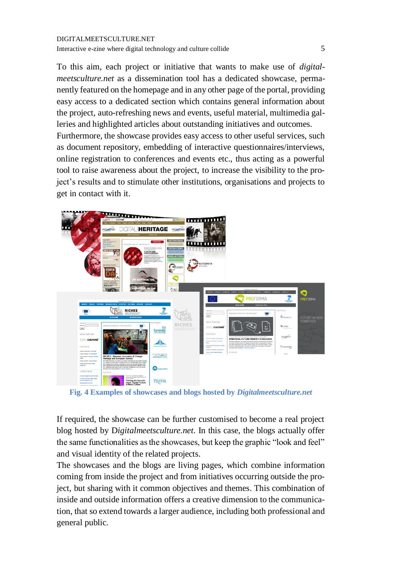To this aim, each project or initiative that wants to make use of *digitalmeetsculture.net* as a dissemination tool has a dedicated showcase, permanently featured on the homepage and in any other page of the portal, providing easy access to a dedicated section which contains general information about the project, auto-refreshing news and events, useful material, multimedia galleries and highlighted articles about outstanding initiatives and outcomes.

Furthermore, the showcase provides easy access to other useful services, such as document repository, embedding of interactive questionnaires/interviews, online registration to conferences and events etc., thus acting as a powerful tool to raise awareness about the project, to increase the visibility to the project's results and to stimulate other institutions, organisations and projects to get in contact with it.



**Fig. 4 Examples of showcases and blogs hosted by** *Digitalmeetsculture.net*

If required, the showcase can be further customised to become a real project blog hosted by D*igitalmeetsculture.net*. In this case, the blogs actually offer the same functionalities as the showcases, but keep the graphic "look and feel" and visual identity of the related projects.

The showcases and the blogs are living pages, which combine information coming from inside the project and from initiatives occurring outside the project, but sharing with it common objectives and themes. This combination of inside and outside information offers a creative dimension to the communication, that so extend towards a larger audience, including both professional and general public.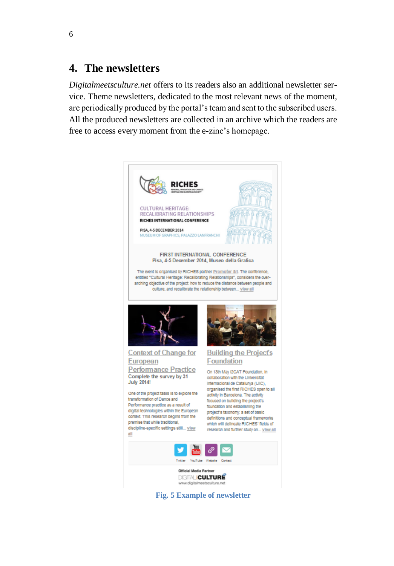### **4. The newsletters**

*Digitalmeetsculture.net* offers to its readers also an additional newsletter service. Theme newsletters, dedicated to the most relevant news of the moment, are periodically produced by the portal's team and sent to the subscribed users. All the produced newsletters are collected in an archive which the readers are free to access every moment from the e-zine's homepage.



**Fig. 5 Example of newsletter**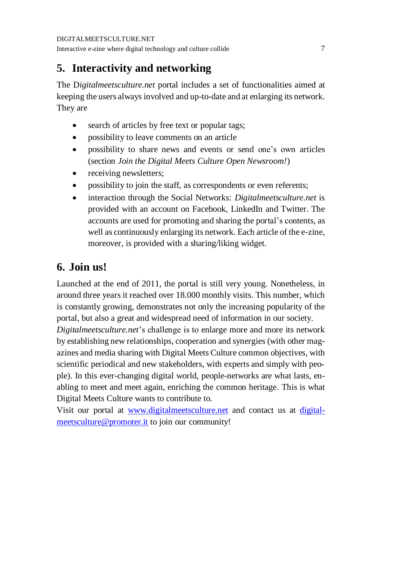# **5. Interactivity and networking**

The D*igitalmeetsculture.net* portal includes a set of functionalities aimed at keeping the users always involved and up-to-date and at enlarging its network. They are

- search of articles by free text or popular tags;
- possibility to leave comments on an article
- possibility to share news and events or send one's own articles (section *Join the Digital Meets Culture Open Newsroom!*)
- receiving newsletters;
- possibility to join the staff, as correspondents or even referents;
- interaction through the Social Networks: *Digitalmeetsculture.net* is provided with an account on Facebook, LinkedIn and Twitter. The accounts are used for promoting and sharing the portal's contents, as well as continuously enlarging its network. Each article of the e-zine, moreover, is provided with a sharing/liking widget.

# **6. Join us!**

Launched at the end of 2011, the portal is still very young. Nonetheless, in around three years it reached over 18.000 monthly visits. This number, which is constantly growing, demonstrates not only the increasing popularity of the portal, but also a great and widespread need of information in our society.

*Digitalmeetsculture.net*'s challenge is to enlarge more and more its network by establishing new relationships, cooperation and synergies (with other magazines and media sharing with Digital Meets Culture common objectives, with scientific periodical and new stakeholders, with experts and simply with people). In this ever-changing digital world, people-networks are what lasts, enabling to meet and meet again, enriching the common heritage. This is what Digital Meets Culture wants to contribute to.

Visit our portal at [www.digitalmeetsculture.net](http://www.digitalmeetsculture.net/) and contact us at [digital](mailto:digitalmeetsculture@promoter.it)[meetsculture@promoter.it](mailto:digitalmeetsculture@promoter.it) to join our community!